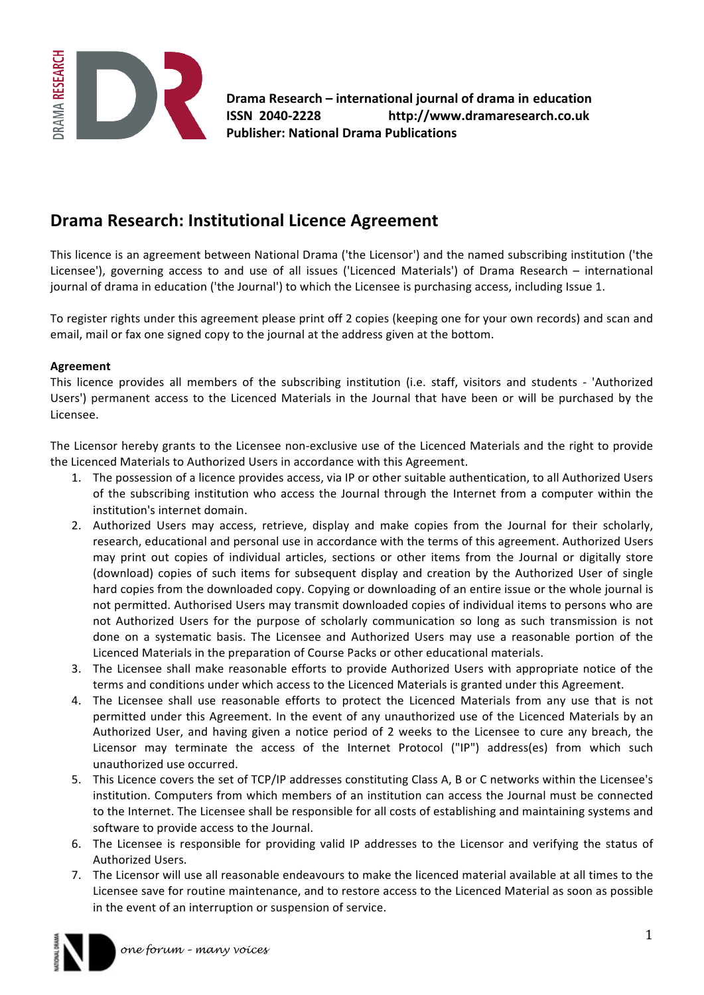

**Drama Research – international journal of drama in education ISSN%%2040?2228%%%%%%%%%%%%%%%%%%%%%http://www.dramaresearch.co.uk Publisher: National Drama Publications** 

## **Drama Research: Institutional Licence Agreement**

This licence is an agreement between National Drama ('the Licensor') and the named subscribing institution ('the Licensee'), governing access to and use of all issues ('Licenced Materials') of Drama Research – international journal of drama in education ('the Journal') to which the Licensee is purchasing access, including Issue 1.

To register rights under this agreement please print off 2 copies (keeping one for your own records) and scan and email, mail or fax one signed copy to the journal at the address given at the bottom.

## **Agreement**

This licence provides all members of the subscribing institution (i.e. staff, visitors and students - 'Authorized Users') permanent access to the Licenced Materials in the Journal that have been or will be purchased by the Licensee.

The Licensor hereby grants to the Licensee non-exclusive use of the Licenced Materials and the right to provide the Licenced Materials to Authorized Users in accordance with this Agreement.

- 1. The possession of a licence provides access, via IP or other suitable authentication, to all Authorized Users of the subscribing institution who access the Journal through the Internet from a computer within the institution's internet domain.
- 2. Authorized Users may access, retrieve, display and make copies from the Journal for their scholarly, research, educational and personal use in accordance with the terms of this agreement. Authorized Users may print out copies of individual articles, sections or other items from the Journal or digitally store (download) copies of such items for subsequent display and creation by the Authorized User of single hard copies from the downloaded copy. Copying or downloading of an entire issue or the whole journal is not permitted. Authorised Users may transmit downloaded copies of individual items to persons who are not Authorized Users for the purpose of scholarly communication so long as such transmission is not done on a systematic basis. The Licensee and Authorized Users may use a reasonable portion of the Licenced Materials in the preparation of Course Packs or other educational materials.
- 3. The Licensee shall make reasonable efforts to provide Authorized Users with appropriate notice of the terms and conditions under which access to the Licenced Materials is granted under this Agreement.
- 4. The Licensee shall use reasonable efforts to protect the Licenced Materials from any use that is not permitted under this Agreement. In the event of any unauthorized use of the Licenced Materials by an Authorized User, and having given a notice period of 2 weeks to the Licensee to cure any breach, the Licensor may terminate the access of the Internet Protocol ("IP") address(es) from which such unauthorized use occurred.
- 5. This Licence covers the set of TCP/IP addresses constituting Class A, B or C networks within the Licensee's institution. Computers from which members of an institution can access the Journal must be connected to the Internet. The Licensee shall be responsible for all costs of establishing and maintaining systems and software to provide access to the Journal.
- 6. The Licensee is responsible for providing valid IP addresses to the Licensor and verifying the status of Authorized Users.
- 7. The Licensor will use all reasonable endeavours to make the licenced material available at all times to the Licensee save for routine maintenance, and to restore access to the Licenced Material as soon as possible in the event of an interruption or suspension of service.